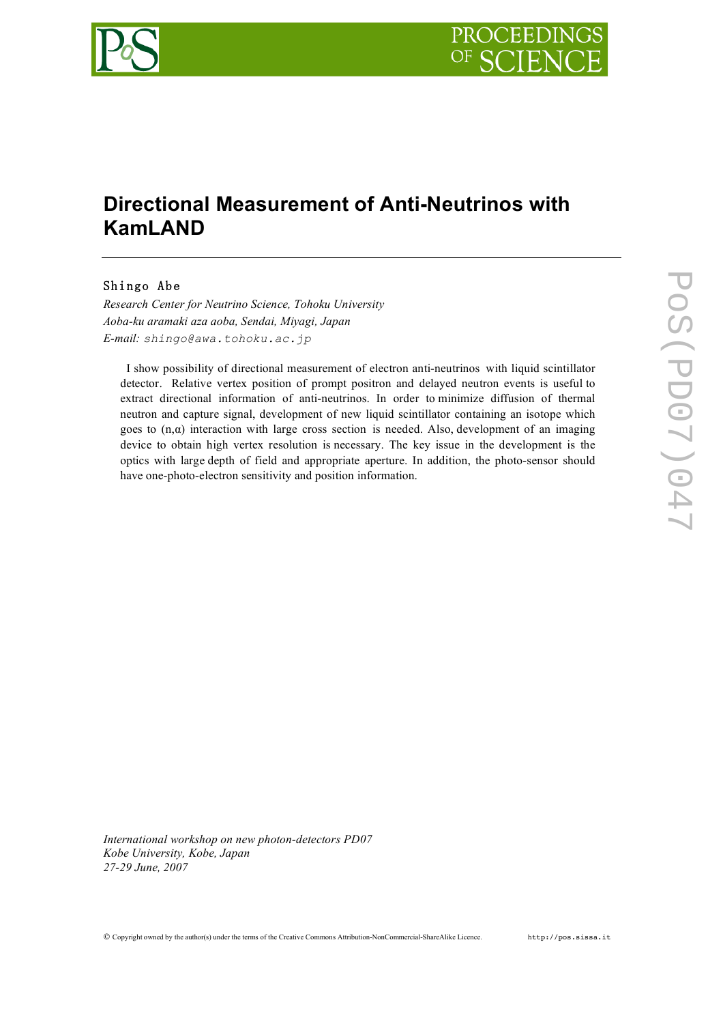

# **Directional Measurement of Anti-Neutrinos with KamLAND**

# Shingo Abe

*Research Center for Neutrino Science, Tohoku University Aoba-ku aramaki aza aoba, Sendai, Miyagi, Japan E-mail: shingo@awa.tohoku.ac.jp*

I show possibility of directional measurement of electron anti-neutrinos with liquid scintillator detector. Relative vertex position of prompt positron and delayed neutron events is useful to extract directional information of anti-neutrinos. In order to minimize diffusion of thermal neutron and capture signal, development of new liquid scintillator containing an isotope which goes to  $(n, \alpha)$  interaction with large cross section is needed. Also, development of an imaging device to obtain high vertex resolution is necessary. The key issue in the development is the optics with large depth of field and appropriate aperture. In addition, the photo-sensor should have one-photo-electron sensitivity and position information.

*International workshop on new photon-detectors PD07 Kobe University, Kobe, Japan 27-29 June, 2007*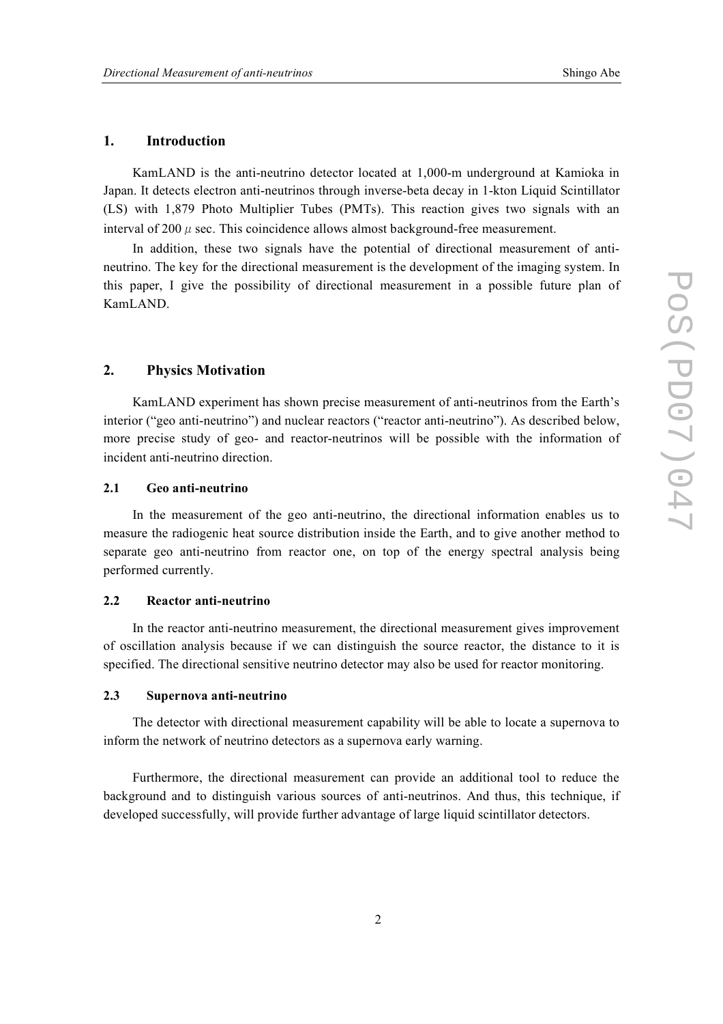# **1. Introduction**

KamLAND is the anti-neutrino detector located at 1,000-m underground at Kamioka in Japan. It detects electron anti-neutrinos through inverse-beta decay in 1-kton Liquid Scintillator (LS) with 1,879 Photo Multiplier Tubes (PMTs). This reaction gives two signals with an interval of 200  $\mu$  sec. This coincidence allows almost background-free measurement.

In addition, these two signals have the potential of directional measurement of antineutrino. The key for the directional measurement is the development of the imaging system. In this paper, I give the possibility of directional measurement in a possible future plan of KamLAND.

# **2. Physics Motivation**

KamLAND experiment has shown precise measurement of anti-neutrinos from the Earth's interior ("geo anti-neutrino") and nuclear reactors ("reactor anti-neutrino"). As described below, more precise study of geo- and reactor-neutrinos will be possible with the information of incident anti-neutrino direction.

#### **2.1 Geo anti-neutrino**

In the measurement of the geo anti-neutrino, the directional information enables us to measure the radiogenic heat source distribution inside the Earth, and to give another method to separate geo anti-neutrino from reactor one, on top of the energy spectral analysis being performed currently.

#### **2.2 Reactor anti-neutrino**

In the reactor anti-neutrino measurement, the directional measurement gives improvement of oscillation analysis because if we can distinguish the source reactor, the distance to it is specified. The directional sensitive neutrino detector may also be used for reactor monitoring.

#### **2.3 Supernova anti-neutrino**

The detector with directional measurement capability will be able to locate a supernova to inform the network of neutrino detectors as a supernova early warning.

Furthermore, the directional measurement can provide an additional tool to reduce the background and to distinguish various sources of anti-neutrinos. And thus, this technique, if developed successfully, will provide further advantage of large liquid scintillator detectors.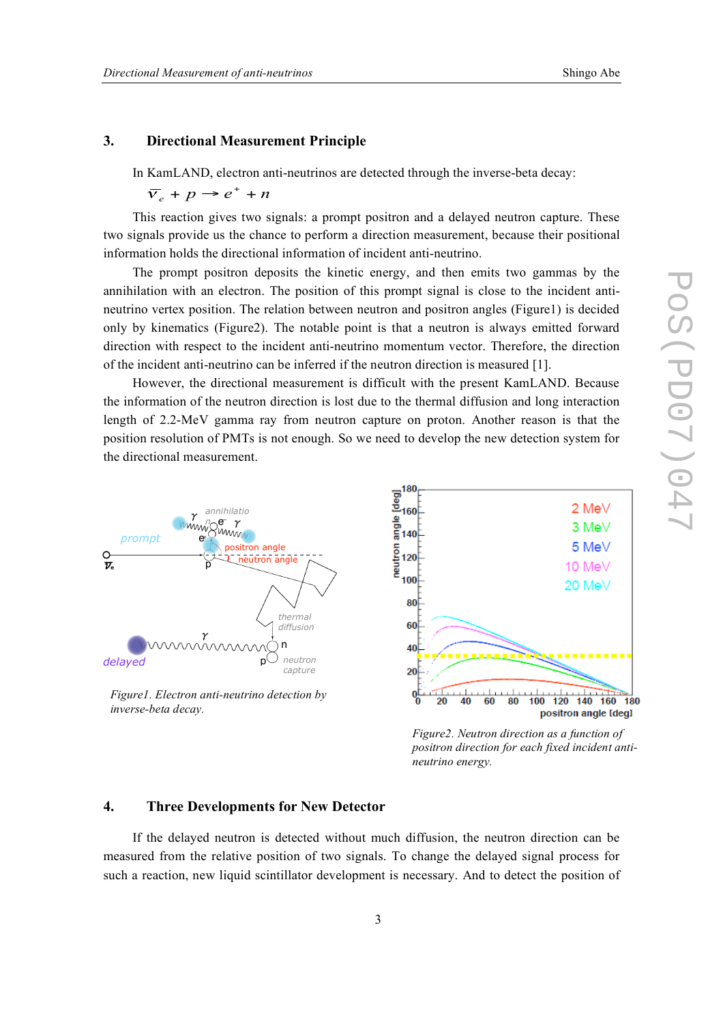## **3. Directional Measurement Principle**

In KamLAND, electron anti-neutrinos are detected through the inverse-beta decay:

 $\overline{v}_e + p \rightarrow e^+ + n$ 

This reaction gives two signals: a prompt positron and a delayed neutron capture. These two signals provide us the chance to perform a direction measurement, because their positional information holds the directional information of incident anti-neutrino.

The prompt positron deposits the kinetic energy, and then emits two gammas by the annihilation with an electron. The position of this prompt signal is close to the incident antineutrino vertex position. The relation between neutron and positron angles (Figure1) is decided only by kinematics (Figure2). The notable point is that a neutron is always emitted forward direction with respect to the incident anti-neutrino momentum vector. Therefore, the direction of the incident anti-neutrino can be inferred if the neutron direction is measured [1].

However, the directional measurement is difficult with the present KamLAND. Because the information of the neutron direction is lost due to the thermal diffusion and long interaction length of 2.2-MeV gamma ray from neutron capture on proton. Another reason is that the position resolution of PMTs is not enough. So we need to develop the new detection system for the directional measurement.



*Figure2. Neutron direction as a function of positron direction for each fixed incident antineutrino energy.*

## **4. Three Developments for New Detector**

If the delayed neutron is detected without much diffusion, the neutron direction can be measured from the relative position of two signals. To change the delayed signal process for such a reaction, new liquid scintillator development is necessary. And to detect the position of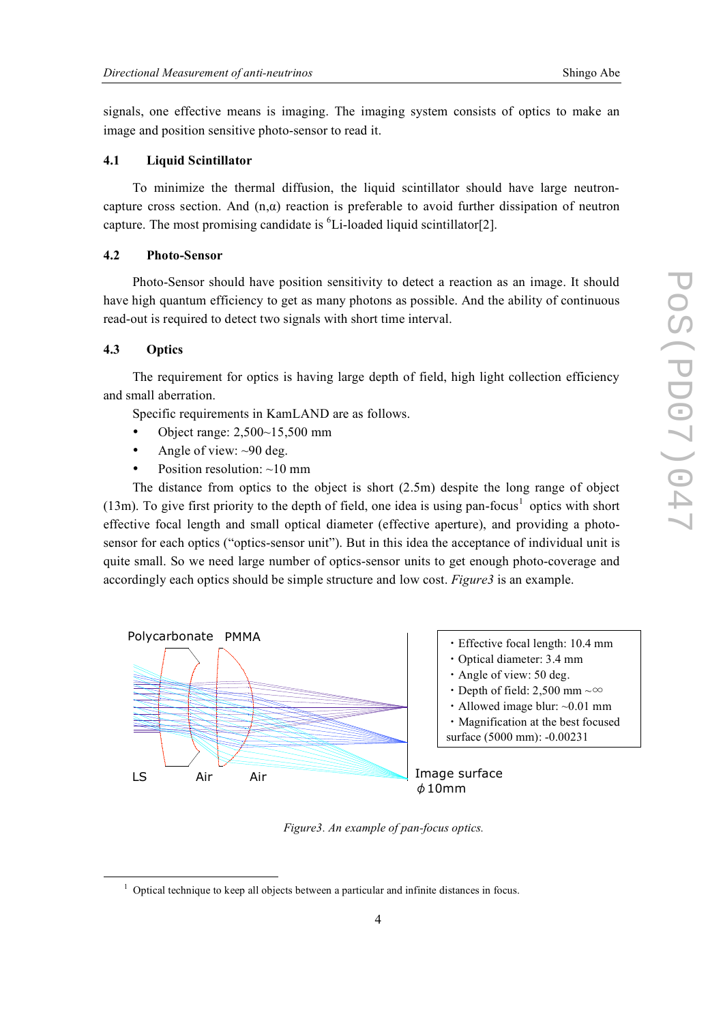signals, one effective means is imaging. The imaging system consists of optics to make an image and position sensitive photo-sensor to read it.

## **4.1 Liquid Scintillator**

To minimize the thermal diffusion, the liquid scintillator should have large neutroncapture cross section. And  $(n, \alpha)$  reaction is preferable to avoid further dissipation of neutron capture. The most promising candidate is  ${}^{6}$ Li-loaded liquid scintillator[2].

#### **4.2 Photo-Sensor**

Photo-Sensor should have position sensitivity to detect a reaction as an image. It should have high quantum efficiency to get as many photons as possible. And the ability of continuous read-out is required to detect two signals with short time interval.

## **4.3 Optics**

The requirement for optics is having large depth of field, high light collection efficiency and small aberration.

Specific requirements in KamLAND are as follows.

- Object range: 2,500~15,500 mm
- Angle of view:  $\sim 90$  deg.
- Position resolution:  $\sim$ 10 mm

The distance from optics to the object is short (2.5m) despite the long range of object  $(13m)$ . To give first priority to the depth of field, one idea is using pan-focus<sup>1</sup> optics with short effective focal length and small optical diameter (effective aperture), and providing a photosensor for each optics ("optics-sensor unit"). But in this idea the acceptance of individual unit is quite small. So we need large number of optics-sensor units to get enough photo-coverage and accordingly each optics should be simple structure and low cost. *Figure3* is an example.



*Figure3. An example of pan-focus optics.*

 $1$  Optical technique to keep all objects between a particular and infinite distances in focus.